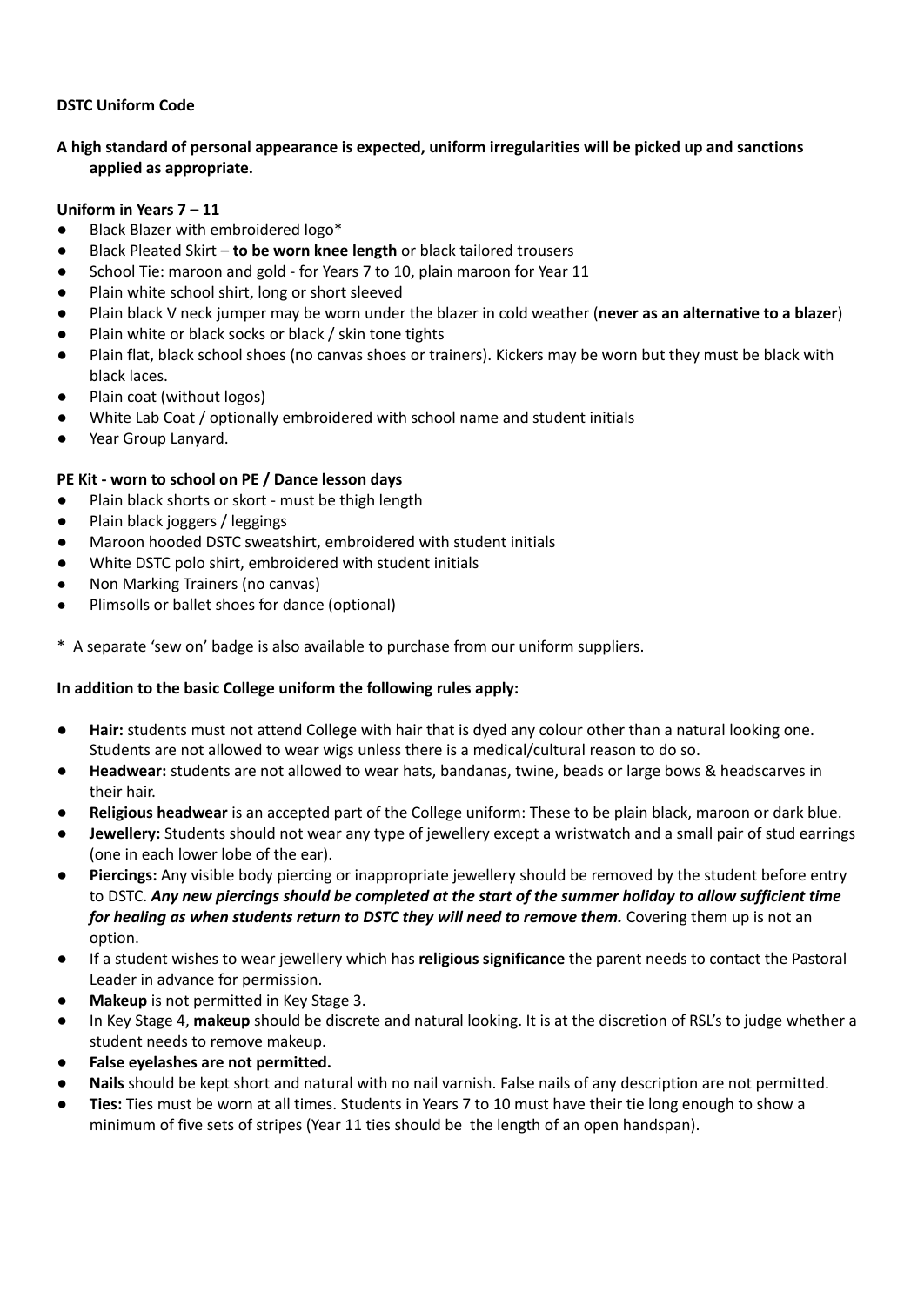### **DSTC Uniform Code**

# **A high standard of personal appearance is expected, uniform irregularities will be picked up and sanctions applied as appropriate.**

#### **Uniform in Years 7 – 11**

- Black Blazer with embroidered logo\*
- Black Pleated Skirt **to be worn knee length** or black tailored trousers
- School Tie: maroon and gold for Years 7 to 10, plain maroon for Year 11
- Plain white school shirt, long or short sleeved
- Plain black V neck jumper may be worn under the blazer in cold weather (**never as an alternative to a blazer**)
- Plain white or black socks or black / skin tone tights
- Plain flat, black school shoes (no canvas shoes or trainers). Kickers may be worn but they must be black with black laces.
- Plain coat (without logos)
- White Lab Coat / optionally embroidered with school name and student initials
- Year Group Lanyard.

## **PE Kit - worn to school on PE / Dance lesson days**

- Plain black shorts or skort must be thigh length
- Plain black joggers / leggings
- Maroon hooded DSTC sweatshirt, embroidered with student initials
- White DSTC polo shirt, embroidered with student initials
- Non Marking Trainers (no canvas)
- Plimsolls or ballet shoes for dance (optional)

\* A separate 'sew on' badge is also available to purchase from our uniform suppliers.

## **In addition to the basic College uniform the following rules apply:**

- **Hair:** students must not attend College with hair that is dyed any colour other than a natural looking one. Students are not allowed to wear wigs unless there is a medical/cultural reason to do so.
- Headwear: students are not allowed to wear hats, bandanas, twine, beads or large bows & headscarves in their hair.
- **Religious headwear** is an accepted part of the College uniform: These to be plain black, maroon or dark blue.
- **Jewellery:** Students should not wear any type of jewellery except a wristwatch and a small pair of stud earrings (one in each lower lobe of the ear).
- **Piercings:** Any visible body piercing or inappropriate jewellery should be removed by the student before entry to DSTC. Any new piercings should be completed at the start of the summer holiday to allow sufficient time *for healing as when students return to DSTC they will need to remove them.* Covering them up is not an option.
- If a student wishes to wear jewellery which has **religious significance** the parent needs to contact the Pastoral Leader in advance for permission.
- **Makeup** is not permitted in Key Stage 3.
- In Key Stage 4, makeup should be discrete and natural looking. It is at the discretion of RSL's to judge whether a student needs to remove makeup.
- **False eyelashes are not permitted.**
- Nails should be kept short and natural with no nail varnish. False nails of any description are not permitted.
- **Ties:** Ties must be worn at all times. Students in Years 7 to 10 must have their tie long enough to show a minimum of five sets of stripes (Year 11 ties should be the length of an open handspan).